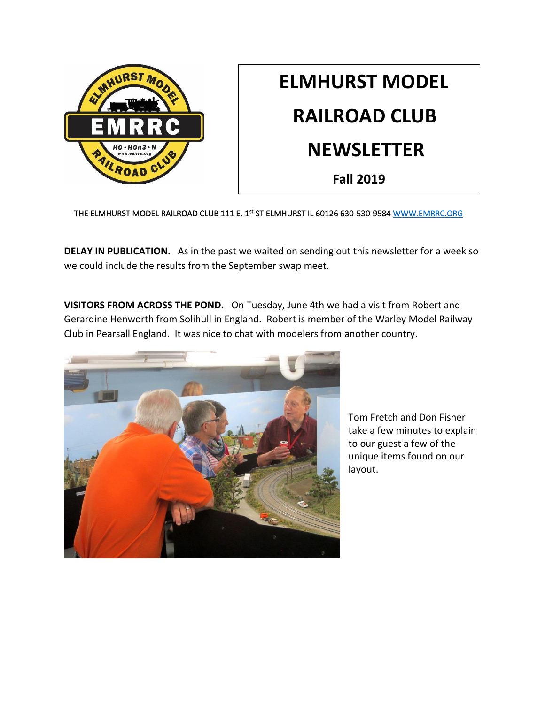

# **ELMHURST MODEL RAILROAD CLUB NEWSLETTER Fall 2019**

THE ELMHURST MODEL RAILROAD CLUB 111 E. 1st ST ELMHURST IL 60126 630-530-9584 WWW.EMRRC.ORG

**DELAY IN PUBLICATION.** As in the past we waited on sending out this newsletter for a week so we could include the results from the September swap meet.

**VISITORS FROM ACROSS THE POND.** On Tuesday, June 4th we had a visit from Robert and Gerardine Henworth from Solihull in England. Robert is member of the Warley Model Railway Club in Pearsall England. It was nice to chat with modelers from another country.



Tom Fretch and Don Fisher take a few minutes to explain to our guest a few of the unique items found on our layout.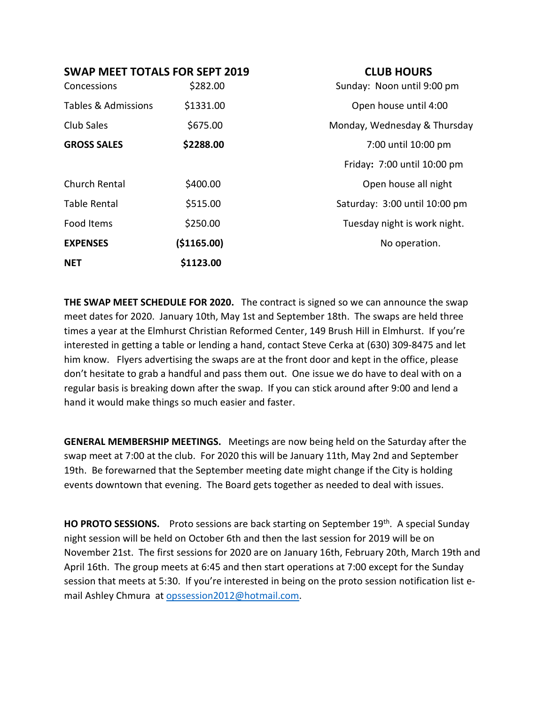### **SWAP MEET TOTALS FOR SEPT 2019 CLUB HOURS**

| Concessions         | \$282.00    | Sunday: Noon until 9:00 pm    |
|---------------------|-------------|-------------------------------|
| Tables & Admissions | \$1331.00   | Open house until 4:00         |
| Club Sales          | \$675.00    | Monday, Wednesday & Thursday  |
| <b>GROSS SALES</b>  | \$2288.00   | 7:00 until 10:00 pm           |
|                     |             | Friday: 7:00 until 10:00 pm   |
| Church Rental       | \$400.00    | Open house all night          |
| <b>Table Rental</b> | \$515.00    | Saturday: 3:00 until 10:00 pm |
| Food Items          | \$250.00    | Tuesday night is work night.  |
| <b>EXPENSES</b>     | (\$1165.00) | No operation.                 |
| <b>NET</b>          | \$1123.00   |                               |

**THE SWAP MEET SCHEDULE FOR 2020.** The contract is signed so we can announce the swap meet dates for 2020. January 10th, May 1st and September 18th. The swaps are held three times a year at the Elmhurst Christian Reformed Center, 149 Brush Hill in Elmhurst. If you're interested in getting a table or lending a hand, contact Steve Cerka at (630) 309-8475 and let him know. Flyers advertising the swaps are at the front door and kept in the office, please don't hesitate to grab a handful and pass them out. One issue we do have to deal with on a regular basis is breaking down after the swap. If you can stick around after 9:00 and lend a hand it would make things so much easier and faster.

**GENERAL MEMBERSHIP MEETINGS.** Meetings are now being held on the Saturday after the swap meet at 7:00 at the club. For 2020 this will be January 11th, May 2nd and September 19th. Be forewarned that the September meeting date might change if the City is holding events downtown that evening. The Board gets together as needed to deal with issues.

HO PROTO SESSIONS. Proto sessions are back starting on September 19<sup>th</sup>. A special Sunday night session will be held on October 6th and then the last session for 2019 will be on November 21st. The first sessions for 2020 are on January 16th, February 20th, March 19th and April 16th. The group meets at 6:45 and then start operations at 7:00 except for the Sunday session that meets at 5:30. If you're interested in being on the proto session notification list email Ashley Chmura at [opssession2012@hotmail.com.](mailto:opssession2012@hotmail.com)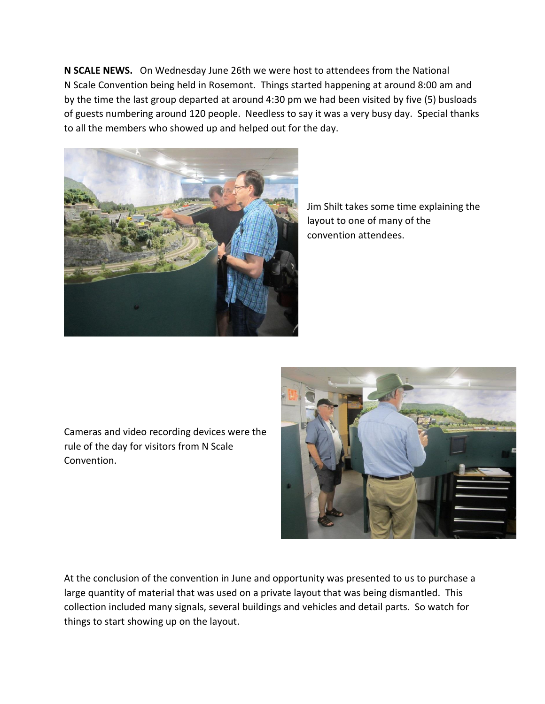**N SCALE NEWS.** On Wednesday June 26th we were host to attendees from the National N Scale Convention being held in Rosemont. Things started happening at around 8:00 am and by the time the last group departed at around 4:30 pm we had been visited by five (5) busloads of guests numbering around 120 people. Needless to say it was a very busy day. Special thanks to all the members who showed up and helped out for the day.



Jim Shilt takes some time explaining the layout to one of many of the convention attendees.

Cameras and video recording devices were the rule of the day for visitors from N Scale Convention.



At the conclusion of the convention in June and opportunity was presented to us to purchase a large quantity of material that was used on a private layout that was being dismantled. This collection included many signals, several buildings and vehicles and detail parts. So watch for things to start showing up on the layout.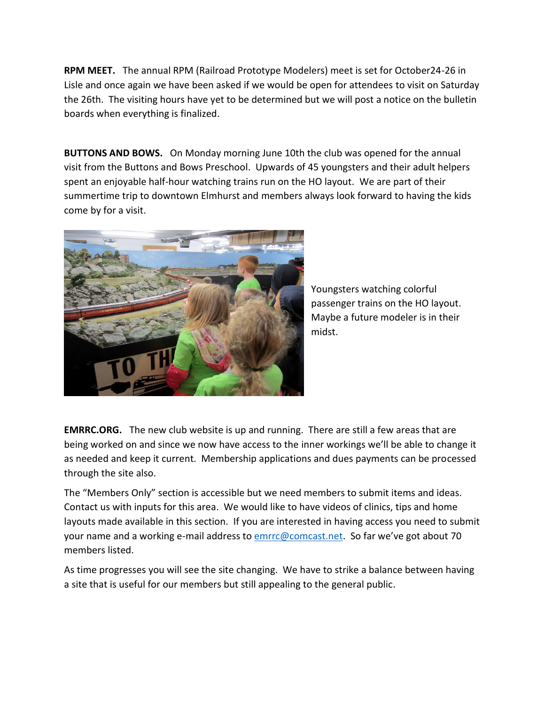**RPM MEET.** The annual RPM (Railroad Prototype Modelers) meet is set for October24-26 in Lisle and once again we have been asked if we would be open for attendees to visit on Saturday the 26th. The visiting hours have yet to be determined but we will post a notice on the bulletin boards when everything is finalized.

**BUTTONS AND BOWS.** On Monday morning June 10th the club was opened for the annual visit from the Buttons and Bows Preschool. Upwards of 45 youngsters and their adult helpers spent an enjoyable half-hour watching trains run on the HO layout. We are part of their summertime trip to downtown Elmhurst and members always look forward to having the kids come by for a visit.



Youngsters watching colorful passenger trains on the HO layout. Maybe a future modeler is in their midst.

**EMRRC.ORG.** The new club website is up and running. There are still a few areas that are being worked on and since we now have access to the inner workings we'll be able to change it as needed and keep it current. Membership applications and dues payments can be processed through the site also.

The "Members Only" section is accessible but we need members to submit items and ideas. Contact us with inputs for this area. We would like to have videos of clinics, tips and home layouts made available in this section. If you are interested in having access you need to submit your name and a working e-mail address t[o emrrc@comcast.net.](mailto:emrrc@comcast.net) So far we've got about 70 members listed.

As time progresses you will see the site changing. We have to strike a balance between having a site that is useful for our members but still appealing to the general public.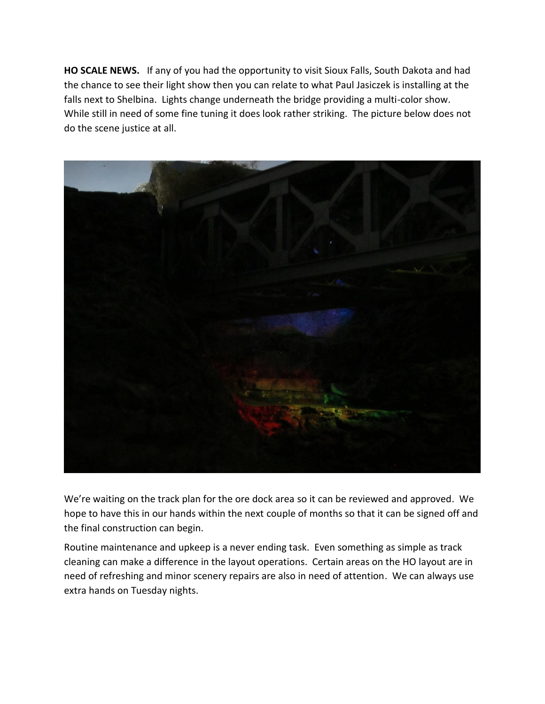**HO SCALE NEWS.** If any of you had the opportunity to visit Sioux Falls, South Dakota and had the chance to see their light show then you can relate to what Paul Jasiczek is installing at the falls next to Shelbina. Lights change underneath the bridge providing a multi-color show. While still in need of some fine tuning it does look rather striking. The picture below does not do the scene justice at all.



We're waiting on the track plan for the ore dock area so it can be reviewed and approved. We hope to have this in our hands within the next couple of months so that it can be signed off and the final construction can begin.

Routine maintenance and upkeep is a never ending task. Even something as simple as track cleaning can make a difference in the layout operations. Certain areas on the HO layout are in need of refreshing and minor scenery repairs are also in need of attention. We can always use extra hands on Tuesday nights.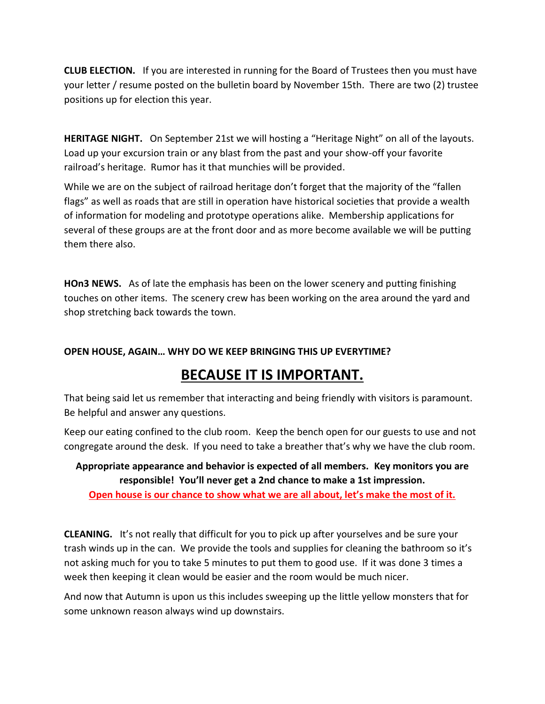**CLUB ELECTION.** If you are interested in running for the Board of Trustees then you must have your letter / resume posted on the bulletin board by November 15th. There are two (2) trustee positions up for election this year.

**HERITAGE NIGHT.** On September 21st we will hosting a "Heritage Night" on all of the layouts. Load up your excursion train or any blast from the past and your show-off your favorite railroad's heritage. Rumor has it that munchies will be provided.

While we are on the subject of railroad heritage don't forget that the majority of the "fallen flags" as well as roads that are still in operation have historical societies that provide a wealth of information for modeling and prototype operations alike. Membership applications for several of these groups are at the front door and as more become available we will be putting them there also.

**HOn3 NEWS.** As of late the emphasis has been on the lower scenery and putting finishing touches on other items. The scenery crew has been working on the area around the yard and shop stretching back towards the town.

### **OPEN HOUSE, AGAIN… WHY DO WE KEEP BRINGING THIS UP EVERYTIME?**

## **BECAUSE IT IS IMPORTANT.**

That being said let us remember that interacting and being friendly with visitors is paramount. Be helpful and answer any questions.

Keep our eating confined to the club room. Keep the bench open for our guests to use and not congregate around the desk. If you need to take a breather that's why we have the club room.

**Appropriate appearance and behavior is expected of all members. Key monitors you are responsible! You'll never get a 2nd chance to make a 1st impression. Open house is our chance to show what we are all about, let's make the most of it.**

**CLEANING.** It's not really that difficult for you to pick up after yourselves and be sure your

trash winds up in the can. We provide the tools and supplies for cleaning the bathroom so it's not asking much for you to take 5 minutes to put them to good use. If it was done 3 times a week then keeping it clean would be easier and the room would be much nicer.

And now that Autumn is upon us this includes sweeping up the little yellow monsters that for some unknown reason always wind up downstairs.